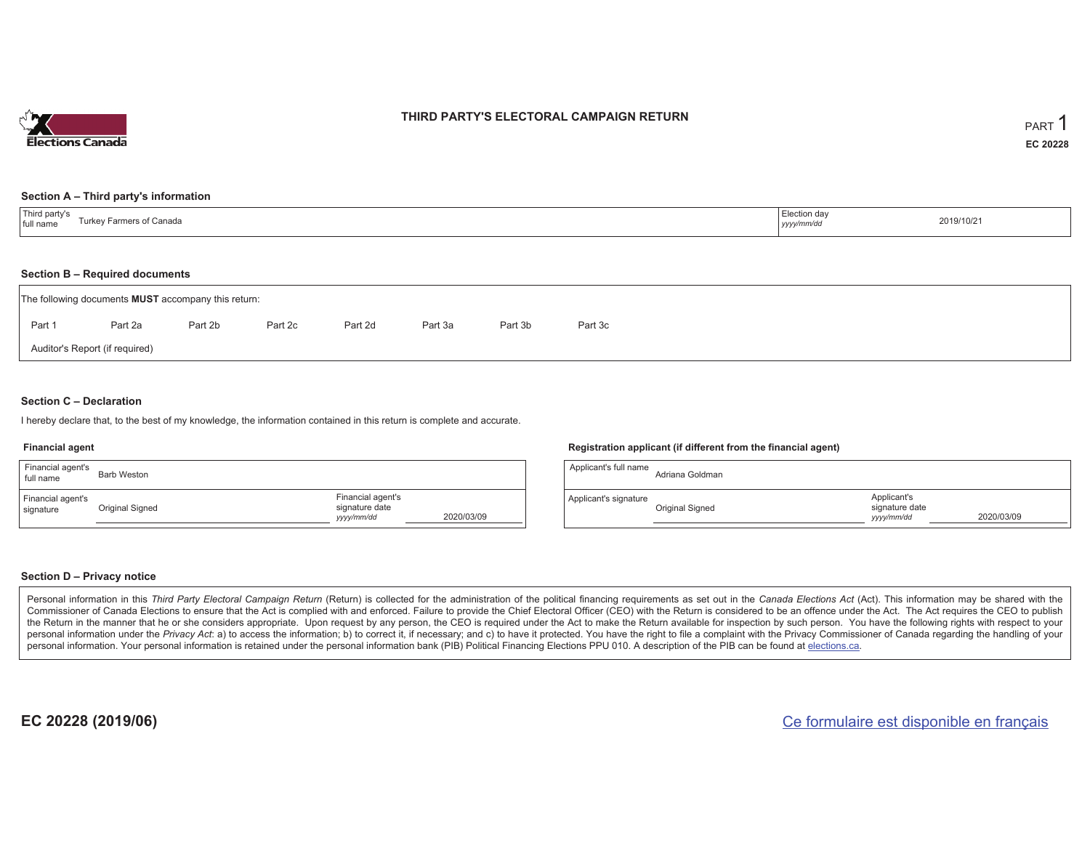

### **THIRD PARTY'S ELECTORAL CAMPAIGN RETURN**

#### **Section A – Third party's information**

| <sup>1</sup> Third party's<br>Farmers of Canada<br>⊤urkev ⊑<br>full name | Election day<br>yyyy/mm/dc | 2019/10/21 |
|--------------------------------------------------------------------------|----------------------------|------------|
|--------------------------------------------------------------------------|----------------------------|------------|

#### **Section B – Required documents**

|                                | The following documents <b>MUST</b> accompany this return: |         |         |         |         |         |         |  |  |  |  |  |  |  |
|--------------------------------|------------------------------------------------------------|---------|---------|---------|---------|---------|---------|--|--|--|--|--|--|--|
| Part 1                         | Part 2a                                                    | Part 2b | Part 2c | Part 2d | Part 3a | Part 3b | Part 3c |  |  |  |  |  |  |  |
| Auditor's Report (if required) |                                                            |         |         |         |         |         |         |  |  |  |  |  |  |  |

### **Section C – Declaration**

I hereby declare that, to the best of my knowledge, the information contained in this return is complete and accurate.

#### **Financial agent**

| Financial agent's<br>full name | <b>Barb Weston</b> |                                                   |            |
|--------------------------------|--------------------|---------------------------------------------------|------------|
| Financial agent's<br>signature | Original Signed    | Financial agent's<br>signature date<br>yyyy/mm/dd | 2020/03/09 |

#### **Registration applicant (if different from the financial agent)**

| Applicant's full name | Adriana Goldman |                                             |            |
|-----------------------|-----------------|---------------------------------------------|------------|
| Applicant's signature | Original Signed | Applicant's<br>signature date<br>yyyy/mm/dd | 2020/03/09 |

### **Section D – Privacy notice**

Personal information in this Third Party Electoral Campaign Return (Return) is collected for the administration of the political financing requirements as set out in the Canada Elections Act (Act). This information may be Commissioner of Canada Elections to ensure that the Act is complied with and enforced. Failure to provide the Chief Electoral Officer (CEO) with the Return is considered to be an offence under the Act. The Act requires the the Return in the manner that he or she considers appropriate. Upon request by any person, the CEO is required under the Act to make the Return available for inspection by such person. You have the following rights with re personal information under the Privacy Act: a) to access the information; b) to correct it, if necessary; and c) to have it protected. You have the right to file a complaint with the Privacy Commissioner of Canada regardin personal information. Your personal information is retained under the personal information bank (PIB) Political Financing Elections PPU 010. A description of the PIB can be found at elections.ca.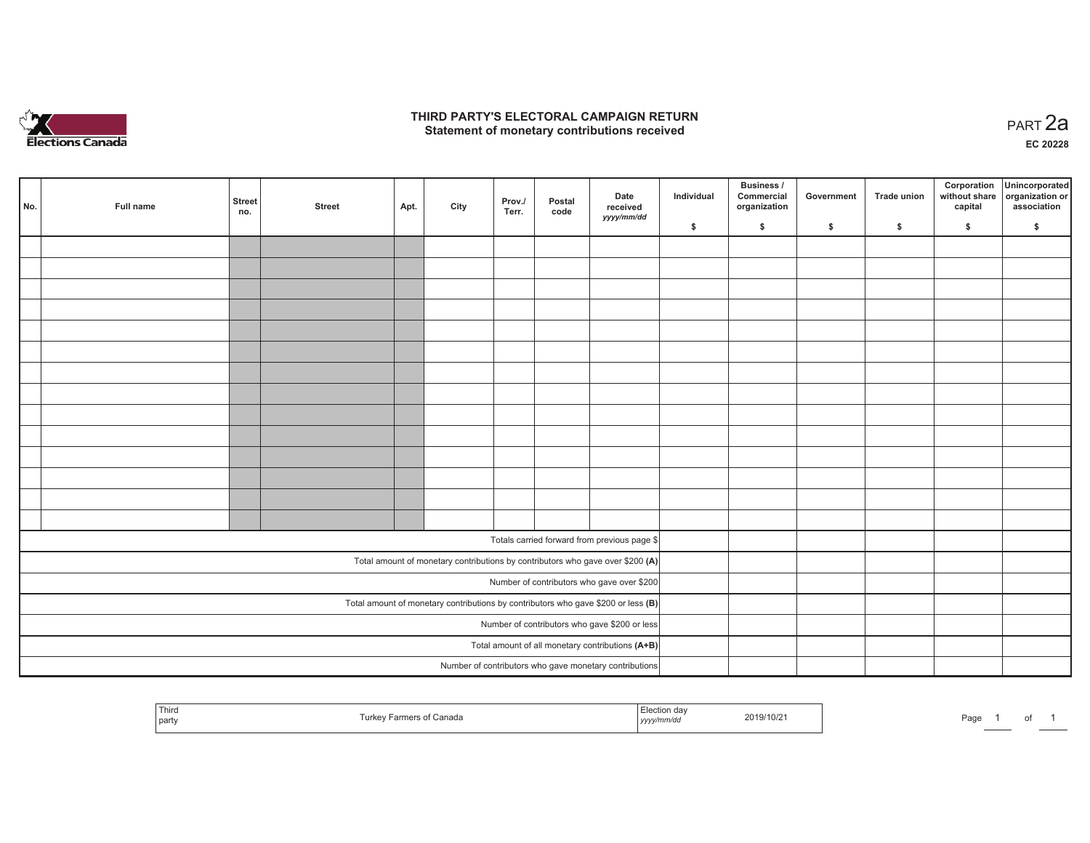

### **THIRD PARTY'S ELECTORAL CAMPAIGN RETURN HIRD PARTY'S ELECTORAL CAMPAIGN RETURN<br>Statement of monetary contributions received PART 2a**

**EC 20228**

| No. | <b>Full name</b> | Street<br>no.                                 | <b>Street</b> | Apt. | City | Prov./<br>Terr. | Postal<br>code | Date<br>received<br>yyyy/mm/dd                                                      | Individual | Business /<br>Commercial<br>organization | Government | Trade union | Corporation<br>without share<br>capital | Unincorporated<br>organization or<br>association |
|-----|------------------|-----------------------------------------------|---------------|------|------|-----------------|----------------|-------------------------------------------------------------------------------------|------------|------------------------------------------|------------|-------------|-----------------------------------------|--------------------------------------------------|
|     |                  |                                               |               |      |      |                 |                |                                                                                     | \$         | $\mathsf{s}$                             | \$         | \$          | \$                                      | \$                                               |
|     |                  |                                               |               |      |      |                 |                |                                                                                     |            |                                          |            |             |                                         |                                                  |
|     |                  |                                               |               |      |      |                 |                |                                                                                     |            |                                          |            |             |                                         |                                                  |
|     |                  |                                               |               |      |      |                 |                |                                                                                     |            |                                          |            |             |                                         |                                                  |
|     |                  |                                               |               |      |      |                 |                |                                                                                     |            |                                          |            |             |                                         |                                                  |
|     |                  |                                               |               |      |      |                 |                |                                                                                     |            |                                          |            |             |                                         |                                                  |
|     |                  |                                               |               |      |      |                 |                |                                                                                     |            |                                          |            |             |                                         |                                                  |
|     |                  |                                               |               |      |      |                 |                |                                                                                     |            |                                          |            |             |                                         |                                                  |
|     |                  |                                               |               |      |      |                 |                |                                                                                     |            |                                          |            |             |                                         |                                                  |
|     |                  |                                               |               |      |      |                 |                |                                                                                     |            |                                          |            |             |                                         |                                                  |
|     |                  |                                               |               |      |      |                 |                |                                                                                     |            |                                          |            |             |                                         |                                                  |
|     |                  |                                               |               |      |      |                 |                |                                                                                     |            |                                          |            |             |                                         |                                                  |
|     |                  |                                               |               |      |      |                 |                |                                                                                     |            |                                          |            |             |                                         |                                                  |
|     |                  |                                               |               |      |      |                 |                |                                                                                     |            |                                          |            |             |                                         |                                                  |
|     |                  |                                               |               |      |      |                 |                |                                                                                     |            |                                          |            |             |                                         |                                                  |
|     |                  |                                               |               |      |      |                 |                |                                                                                     |            |                                          |            |             |                                         |                                                  |
|     |                  |                                               |               |      |      |                 |                | Totals carried forward from previous page \$                                        |            |                                          |            |             |                                         |                                                  |
|     |                  |                                               |               |      |      |                 |                | Total amount of monetary contributions by contributors who gave over \$200 (A)      |            |                                          |            |             |                                         |                                                  |
|     |                  |                                               |               |      |      |                 |                | Number of contributors who gave over \$200                                          |            |                                          |            |             |                                         |                                                  |
|     |                  |                                               |               |      |      |                 |                | Total amount of monetary contributions by contributors who gave \$200 or less $(B)$ |            |                                          |            |             |                                         |                                                  |
|     |                  | Number of contributors who gave \$200 or less |               |      |      |                 |                |                                                                                     |            |                                          |            |             |                                         |                                                  |
|     |                  |                                               |               |      |      |                 |                | Total amount of all monetary contributions (A+B)                                    |            |                                          |            |             |                                         |                                                  |
|     |                  |                                               |               |      |      |                 |                | Number of contributors who gave monetary contributions                              |            |                                          |            |             |                                         |                                                  |
|     |                  |                                               |               |      |      |                 |                |                                                                                     |            |                                          |            |             |                                         |                                                  |

| l Thiro<br>2019/10/2<br>.<br>part<br>,,,, | 'ag∈ |
|-------------------------------------------|------|
|-------------------------------------------|------|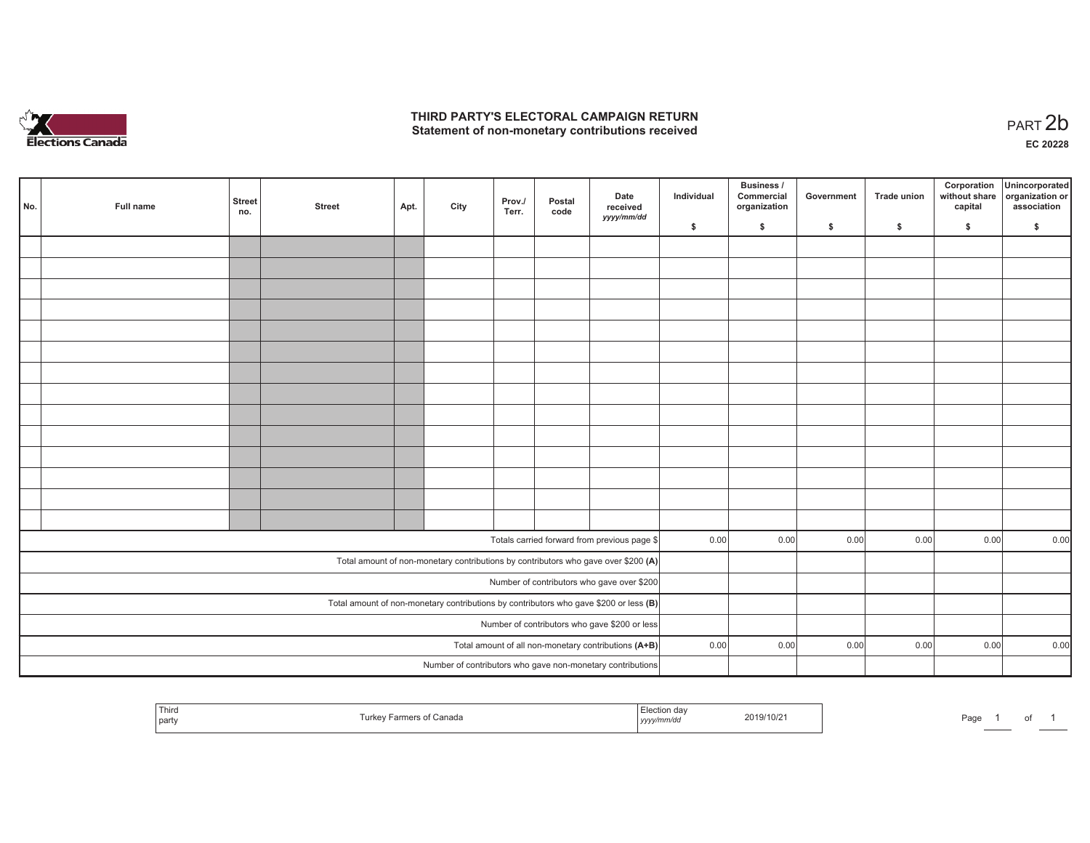

## **THIRD PARTY'S ELECTORAL CAMPAIGN RETURN**  THIRD PARTY'S ELECTORAL CAMPAIGN RETURN<br>Statement of non-monetary contributions received<br> **PART 2b**

| No.                                                                                     | Full name | <b>Street</b><br>no. | <b>Street</b> | Apt. | City | Prov./<br>Terr. | Postal<br>code | Date<br>received                                                                   | Individual | <b>Business /</b><br>Commercial<br>organization | Government | Trade union | Corporation<br>capital | Unincorporated<br>without share organization or<br>association |
|-----------------------------------------------------------------------------------------|-----------|----------------------|---------------|------|------|-----------------|----------------|------------------------------------------------------------------------------------|------------|-------------------------------------------------|------------|-------------|------------------------|----------------------------------------------------------------|
|                                                                                         |           |                      |               |      |      |                 |                | yyyy/mm/dd                                                                         | \$         | \$                                              | \$         | \$          | \$                     | \$                                                             |
|                                                                                         |           |                      |               |      |      |                 |                |                                                                                    |            |                                                 |            |             |                        |                                                                |
|                                                                                         |           |                      |               |      |      |                 |                |                                                                                    |            |                                                 |            |             |                        |                                                                |
|                                                                                         |           |                      |               |      |      |                 |                |                                                                                    |            |                                                 |            |             |                        |                                                                |
|                                                                                         |           |                      |               |      |      |                 |                |                                                                                    |            |                                                 |            |             |                        |                                                                |
|                                                                                         |           |                      |               |      |      |                 |                |                                                                                    |            |                                                 |            |             |                        |                                                                |
|                                                                                         |           |                      |               |      |      |                 |                |                                                                                    |            |                                                 |            |             |                        |                                                                |
|                                                                                         |           |                      |               |      |      |                 |                |                                                                                    |            |                                                 |            |             |                        |                                                                |
|                                                                                         |           |                      |               |      |      |                 |                |                                                                                    |            |                                                 |            |             |                        |                                                                |
|                                                                                         |           |                      |               |      |      |                 |                |                                                                                    |            |                                                 |            |             |                        |                                                                |
|                                                                                         |           |                      |               |      |      |                 |                |                                                                                    |            |                                                 |            |             |                        |                                                                |
|                                                                                         |           |                      |               |      |      |                 |                |                                                                                    |            |                                                 |            |             |                        |                                                                |
|                                                                                         |           |                      |               |      |      |                 |                |                                                                                    |            |                                                 |            |             |                        |                                                                |
|                                                                                         |           |                      |               |      |      |                 |                |                                                                                    |            |                                                 |            |             |                        |                                                                |
|                                                                                         |           |                      |               |      |      |                 |                |                                                                                    |            |                                                 |            |             |                        |                                                                |
|                                                                                         |           |                      |               |      |      |                 |                | Totals carried forward from previous page \$                                       | 0.00       | 0.00                                            | 0.00       | 0.00        | 0.00                   | 0.00                                                           |
|                                                                                         |           |                      |               |      |      |                 |                |                                                                                    |            |                                                 |            |             |                        |                                                                |
|                                                                                         |           |                      |               |      |      |                 |                | Total amount of non-monetary contributions by contributors who gave over \$200 (A) |            |                                                 |            |             |                        |                                                                |
| Number of contributors who gave over \$200                                              |           |                      |               |      |      |                 |                |                                                                                    |            |                                                 |            |             |                        |                                                                |
| Total amount of non-monetary contributions by contributors who gave \$200 or less $(B)$ |           |                      |               |      |      |                 |                |                                                                                    |            |                                                 |            |             |                        |                                                                |
| Number of contributors who gave \$200 or less                                           |           |                      |               |      |      |                 |                |                                                                                    |            |                                                 |            |             |                        |                                                                |
|                                                                                         |           |                      |               |      |      |                 |                | Total amount of all non-monetary contributions (A+B)                               | 0.00       | 0.00                                            | 0.00       | 0.00        | 0.00                   | 0.00                                                           |
|                                                                                         |           |                      |               |      |      |                 |                | Number of contributors who gave non-monetary contributions                         |            |                                                 |            |             |                        |                                                                |

| nar | .<br>canad<br>part. | $\cdots$<br>2019/10/2<br>,,,,, | າ - -<br>'au<br> |
|-----|---------------------|--------------------------------|------------------|
|-----|---------------------|--------------------------------|------------------|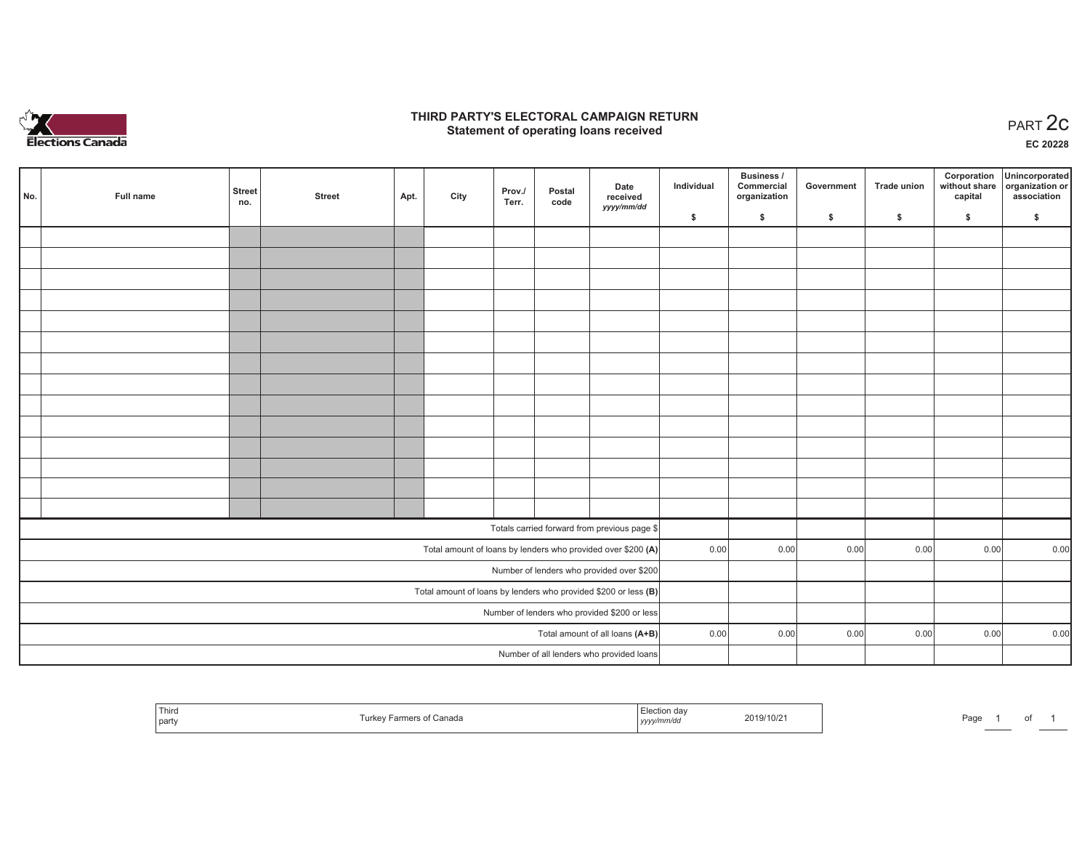

## **THIRD PARTY'S ELECTORAL CAMPAIGN RETURN STATE:** PRACT OF OPPRESS THE STATE STATE STATE STATE STATE STATE STATE STATE STATE STATE START 2C PART 2C STATE STATE STATE STATE STATE STATE STATE STATE STATE STATE STATE STATE STATE STATE STATE STATE STATE STATE STATE S

**EC 20228**

| No. | Full name | <b>Street</b><br>no. | <b>Street</b> | Apt. | City | Prov./<br>Terr. | Postal<br>code | Date<br>received                                                  | Individual | Business /<br>Commercial<br>organization | Government | Trade union  | Corporation<br>capital | Unincorporated<br>without share organization or<br>association |
|-----|-----------|----------------------|---------------|------|------|-----------------|----------------|-------------------------------------------------------------------|------------|------------------------------------------|------------|--------------|------------------------|----------------------------------------------------------------|
|     |           |                      |               |      |      |                 |                | yyyy/mm/dd                                                        | \$         | \$                                       | \$         | $\mathsf{s}$ | \$                     | \$                                                             |
|     |           |                      |               |      |      |                 |                |                                                                   |            |                                          |            |              |                        |                                                                |
|     |           |                      |               |      |      |                 |                |                                                                   |            |                                          |            |              |                        |                                                                |
|     |           |                      |               |      |      |                 |                |                                                                   |            |                                          |            |              |                        |                                                                |
|     |           |                      |               |      |      |                 |                |                                                                   |            |                                          |            |              |                        |                                                                |
|     |           |                      |               |      |      |                 |                |                                                                   |            |                                          |            |              |                        |                                                                |
|     |           |                      |               |      |      |                 |                |                                                                   |            |                                          |            |              |                        |                                                                |
|     |           |                      |               |      |      |                 |                |                                                                   |            |                                          |            |              |                        |                                                                |
|     |           |                      |               |      |      |                 |                |                                                                   |            |                                          |            |              |                        |                                                                |
|     |           |                      |               |      |      |                 |                |                                                                   |            |                                          |            |              |                        |                                                                |
|     |           |                      |               |      |      |                 |                |                                                                   |            |                                          |            |              |                        |                                                                |
|     |           |                      |               |      |      |                 |                |                                                                   |            |                                          |            |              |                        |                                                                |
|     |           |                      |               |      |      |                 |                |                                                                   |            |                                          |            |              |                        |                                                                |
|     |           |                      |               |      |      |                 |                |                                                                   |            |                                          |            |              |                        |                                                                |
|     |           |                      |               |      |      |                 |                |                                                                   |            |                                          |            |              |                        |                                                                |
|     |           |                      |               |      |      |                 |                | Totals carried forward from previous page \$                      |            |                                          |            |              |                        |                                                                |
|     |           |                      |               |      |      |                 |                | Total amount of loans by lenders who provided over \$200 (A)      | 0.00       | 0.00                                     | 0.00       | 0.00         | 0.00                   | 0.00                                                           |
|     |           |                      |               |      |      |                 |                | Number of lenders who provided over \$200                         |            |                                          |            |              |                        |                                                                |
|     |           |                      |               |      |      |                 |                | Total amount of loans by lenders who provided \$200 or less $(B)$ |            |                                          |            |              |                        |                                                                |
|     |           |                      |               |      |      |                 |                | Number of lenders who provided \$200 or less                      |            |                                          |            |              |                        |                                                                |
|     |           |                      |               |      |      |                 |                | Total amount of all loans (A+B)                                   | 0.00       | 0.00                                     | 0.00       | 0.00         | 0.00                   | 0.00                                                           |
|     |           |                      |               |      |      |                 |                | Number of all lenders who provided loans                          |            |                                          |            |              |                        |                                                                |

| Third<br>, urkev<br>party | Farmers of Canada | Election dav<br>yyyy/mm/dd | 2019/10/21 | Page | $ -$ |  |  |
|---------------------------|-------------------|----------------------------|------------|------|------|--|--|
|---------------------------|-------------------|----------------------------|------------|------|------|--|--|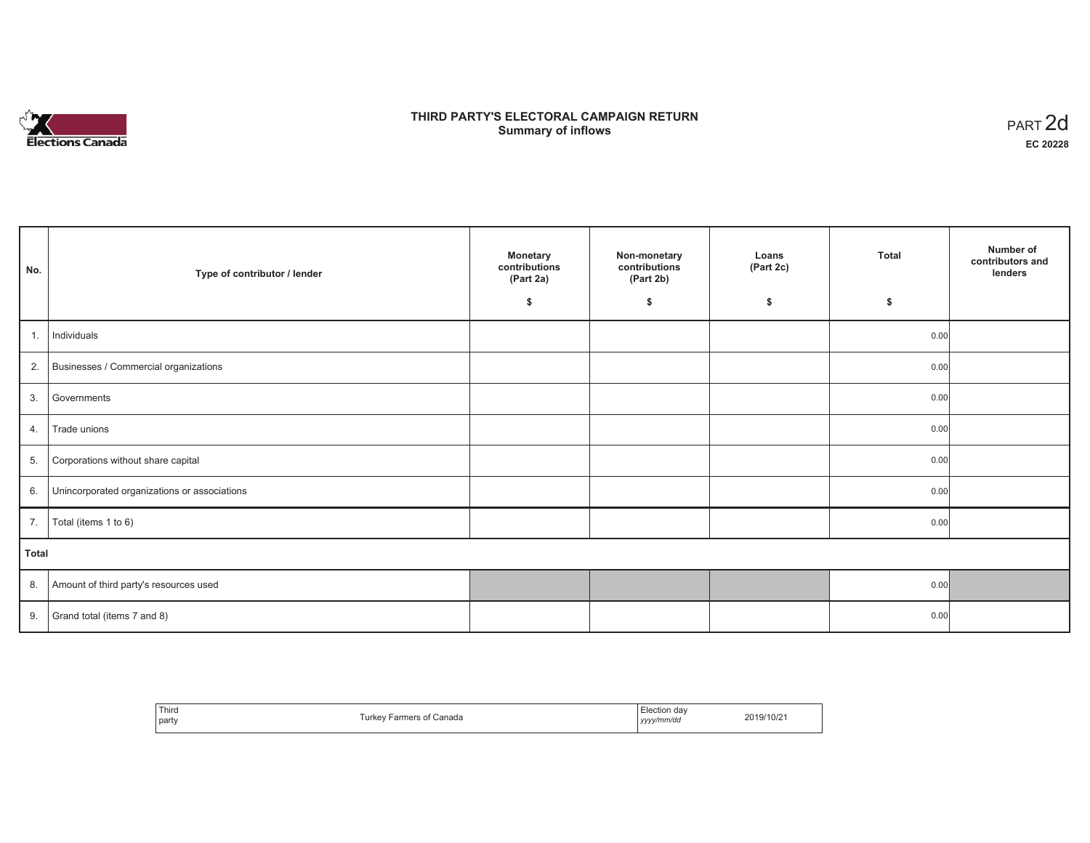

# **THIRD PARTY'S ELECTORAL CAMPAIGN RETURN S** ELECTORAL CAMPAIGN RETURN<br>Summary of inflows PART 2d

| No.   | Type of contributor / lender                    | <b>Monetary</b><br>contributions<br>(Part 2a) | Non-monetary<br>contributions<br>(Part 2b) | Loans<br>(Part 2c) | <b>Total</b> | Number of<br>contributors and<br>lenders |
|-------|-------------------------------------------------|-----------------------------------------------|--------------------------------------------|--------------------|--------------|------------------------------------------|
|       |                                                 | \$                                            | \$                                         | \$                 | \$           |                                          |
| 1.    | Individuals                                     |                                               |                                            |                    | 0.00         |                                          |
|       | 2. Businesses / Commercial organizations        |                                               |                                            |                    | 0.00         |                                          |
| 3.    | Governments                                     |                                               |                                            |                    | 0.00         |                                          |
| 4.    | Trade unions                                    |                                               |                                            |                    | 0.00         |                                          |
| 5.    | Corporations without share capital              |                                               |                                            |                    | 0.00         |                                          |
|       | 6. Unincorporated organizations or associations |                                               |                                            |                    | 0.00         |                                          |
|       | 7. $\boxed{\text{Total (items 1 to 6)}}$        |                                               |                                            |                    | 0.00         |                                          |
| Total |                                                 |                                               |                                            |                    |              |                                          |
|       | 8. Amount of third party's resources used       |                                               |                                            |                    | 0.00         |                                          |
| 9.    | Grand total (items 7 and 8)                     |                                               |                                            |                    | 0.00         |                                          |

| Third<br>party | Turkey Farmers of Canada | Election dav<br>.<br>yyyy/mm/dd | 2019/10/21 |
|----------------|--------------------------|---------------------------------|------------|
|----------------|--------------------------|---------------------------------|------------|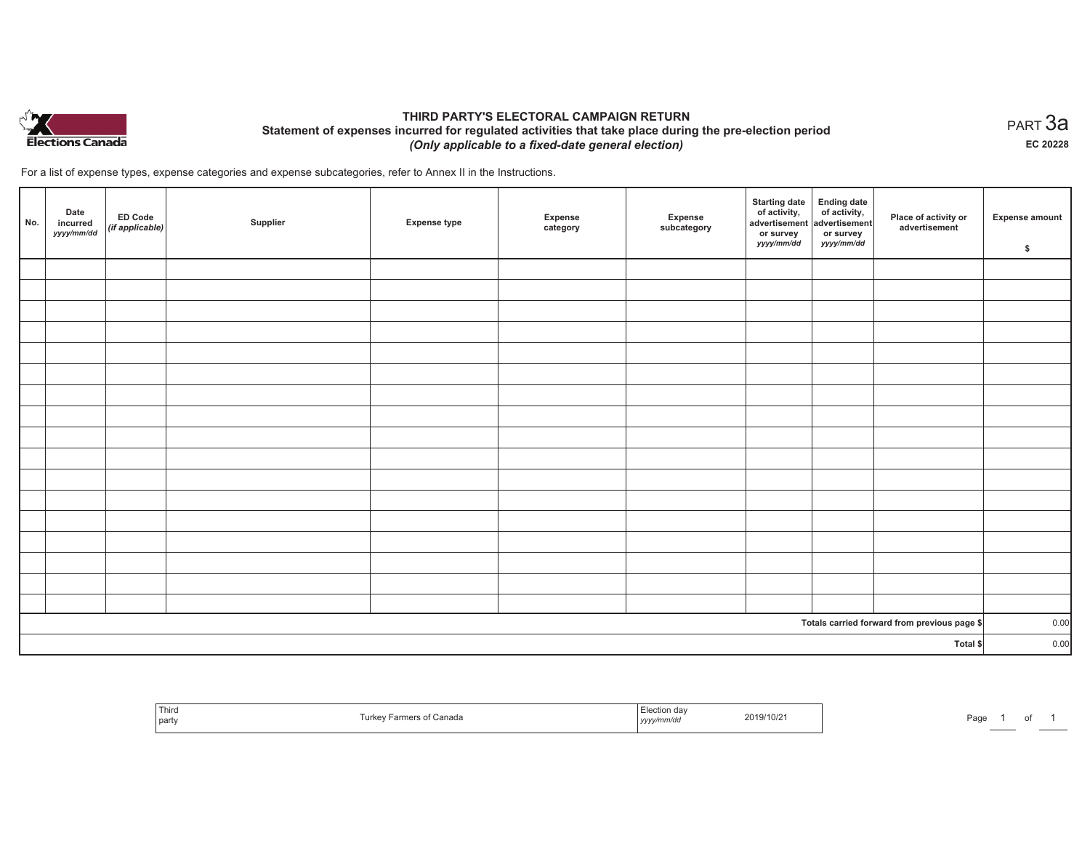

## **THIRD PARTY'S ELECTORAL CAMPAIGN RETURN Statement of expenses incurred for regulated activities that take place during the pre-election period**  *(Only applicable to a fixed-date general election)*

For a list of expense types, expense categories and expense subcategories, refer to Annex II in the Instructions.

| No.      | Date<br>incurred<br>yyyy/mm/dd | <b>ED Code</b><br>(if applicable) | Supplier | <b>Expense type</b> | Expense<br>category | Expense<br>subcategory | <b>Starting date</b><br>of activity,<br>advertisement<br>or survey<br>yyyy/mm/dd | Ending date<br>of activity,<br>advertisement<br>or survey<br>yyyy/mm/dd | Place of activity or<br>advertisement        | <b>Expense amount</b><br>\$ |
|----------|--------------------------------|-----------------------------------|----------|---------------------|---------------------|------------------------|----------------------------------------------------------------------------------|-------------------------------------------------------------------------|----------------------------------------------|-----------------------------|
|          |                                |                                   |          |                     |                     |                        |                                                                                  |                                                                         |                                              |                             |
|          |                                |                                   |          |                     |                     |                        |                                                                                  |                                                                         |                                              |                             |
|          |                                |                                   |          |                     |                     |                        |                                                                                  |                                                                         |                                              |                             |
|          |                                |                                   |          |                     |                     |                        |                                                                                  |                                                                         |                                              |                             |
|          |                                |                                   |          |                     |                     |                        |                                                                                  |                                                                         |                                              |                             |
|          |                                |                                   |          |                     |                     |                        |                                                                                  |                                                                         |                                              |                             |
|          |                                |                                   |          |                     |                     |                        |                                                                                  |                                                                         |                                              |                             |
|          |                                |                                   |          |                     |                     |                        |                                                                                  |                                                                         |                                              |                             |
|          |                                |                                   |          |                     |                     |                        |                                                                                  |                                                                         |                                              |                             |
|          |                                |                                   |          |                     |                     |                        |                                                                                  |                                                                         |                                              |                             |
|          |                                |                                   |          |                     |                     |                        |                                                                                  |                                                                         |                                              |                             |
|          |                                |                                   |          |                     |                     |                        |                                                                                  |                                                                         |                                              |                             |
|          |                                |                                   |          |                     |                     |                        |                                                                                  |                                                                         |                                              |                             |
|          |                                |                                   |          |                     |                     |                        |                                                                                  |                                                                         |                                              |                             |
|          |                                |                                   |          |                     |                     |                        |                                                                                  |                                                                         |                                              |                             |
|          |                                |                                   |          |                     |                     |                        |                                                                                  |                                                                         |                                              |                             |
|          |                                |                                   |          |                     |                     |                        |                                                                                  |                                                                         |                                              |                             |
|          |                                |                                   |          |                     |                     |                        |                                                                                  |                                                                         | Totals carried forward from previous page \$ | 0.00                        |
| Total \$ |                                |                                   |          |                     |                     |                        | 0.00                                                                             |                                                                         |                                              |                             |

| Thirc<br>' part | Canada<br>l urke<br>анк | --<br>2019/10/21<br>.<br><i>y</i> /11111/uv<br>  <i>yyyy</i> | Page |
|-----------------|-------------------------|--------------------------------------------------------------|------|
|-----------------|-------------------------|--------------------------------------------------------------|------|

 $_{\sf PART}$ 3a **EC 20228**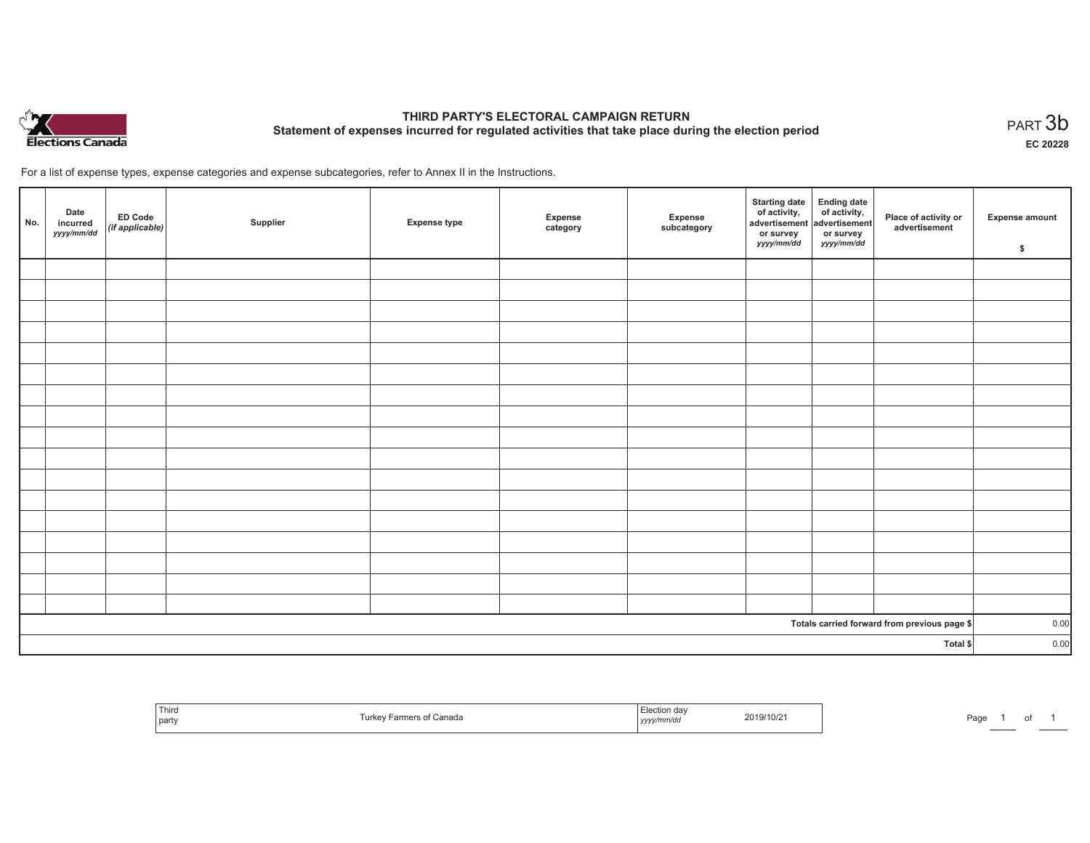

# **THIRD PARTY'S ELECTORAL CAMPAIGN RETURN Statement of expenses incurred for regulated activities that take place during the election period**<br>PART  $3\mathsf{b}$

**EC 20228**

For a list of expense types, expense categories and expense subcategories, refer to Annex II in the Instructions.

| No.                                          | Date<br>incurred<br>yyyy/mm/dd | ED Code<br>(if applicable) | Supplier | <b>Expense type</b> | Expense<br>category | Expense<br>subcategory | Starting date Ending date<br>of activity, of activity,<br>advertisement advertisement<br>or survey<br>yyyy/mm/dd | or survey<br>yyyy/mm/dd | Place of activity or<br>advertisement | <b>Expense amount</b><br>\$ |
|----------------------------------------------|--------------------------------|----------------------------|----------|---------------------|---------------------|------------------------|------------------------------------------------------------------------------------------------------------------|-------------------------|---------------------------------------|-----------------------------|
|                                              |                                |                            |          |                     |                     |                        |                                                                                                                  |                         |                                       |                             |
|                                              |                                |                            |          |                     |                     |                        |                                                                                                                  |                         |                                       |                             |
|                                              |                                |                            |          |                     |                     |                        |                                                                                                                  |                         |                                       |                             |
|                                              |                                |                            |          |                     |                     |                        |                                                                                                                  |                         |                                       |                             |
|                                              |                                |                            |          |                     |                     |                        |                                                                                                                  |                         |                                       |                             |
|                                              |                                |                            |          |                     |                     |                        |                                                                                                                  |                         |                                       |                             |
|                                              |                                |                            |          |                     |                     |                        |                                                                                                                  |                         |                                       |                             |
|                                              |                                |                            |          |                     |                     |                        |                                                                                                                  |                         |                                       |                             |
|                                              |                                |                            |          |                     |                     |                        |                                                                                                                  |                         |                                       |                             |
|                                              |                                |                            |          |                     |                     |                        |                                                                                                                  |                         |                                       |                             |
|                                              |                                |                            |          |                     |                     |                        |                                                                                                                  |                         |                                       |                             |
|                                              |                                |                            |          |                     |                     |                        |                                                                                                                  |                         |                                       |                             |
|                                              |                                |                            |          |                     |                     |                        |                                                                                                                  |                         |                                       |                             |
|                                              |                                |                            |          |                     |                     |                        |                                                                                                                  |                         |                                       |                             |
|                                              |                                |                            |          |                     |                     |                        |                                                                                                                  |                         |                                       |                             |
|                                              |                                |                            |          |                     |                     |                        |                                                                                                                  |                         |                                       |                             |
|                                              |                                |                            |          |                     |                     |                        |                                                                                                                  |                         |                                       |                             |
| Totals carried forward from previous page \$ |                                |                            |          |                     |                     | 0.00                   |                                                                                                                  |                         |                                       |                             |
| Total \$                                     |                                |                            |          |                     |                     |                        | 0.00                                                                                                             |                         |                                       |                             |

| Third<br>part | <sup>:</sup> Canada<br>. urke <sup>.</sup><br>'S 01<br>. | 2019/10/21<br>, уууултти | Page |
|---------------|----------------------------------------------------------|--------------------------|------|
|---------------|----------------------------------------------------------|--------------------------|------|